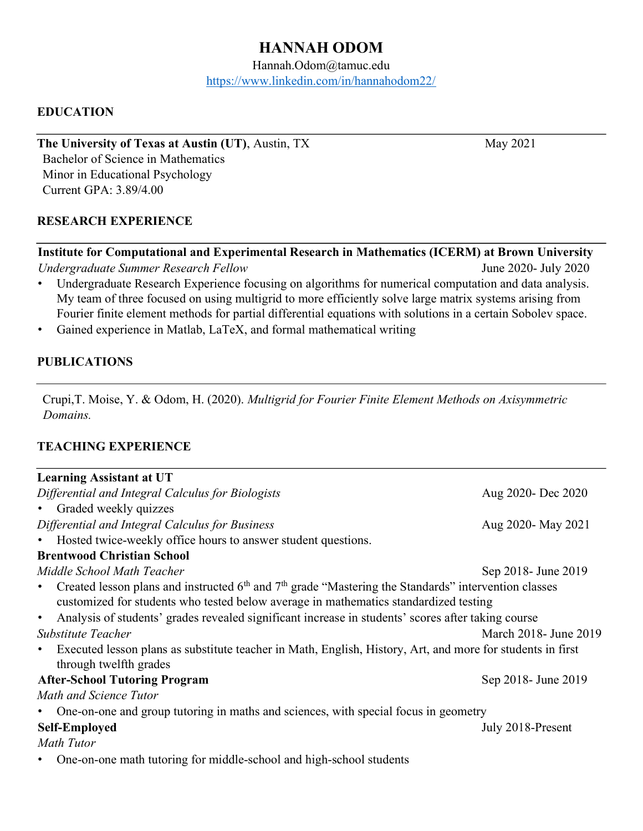# HANNAH ODOM

Hannah.Odom@tamuc.edu https://www.linkedin.com/in/hannahodom22/

## EDUCATION

The University of Texas at Austin (UT), Austin, TX May 2021 Bachelor of Science in Mathematics Minor in Educational Psychology

Current GPA: 3.89/4.00

#### RESEARCH EXPERIENCE

#### Institute for Computational and Experimental Research in Mathematics (ICERM) at Brown University

Undergraduate Summer Research Fellow June 2020- July 2020

- Undergraduate Research Experience focusing on algorithms for numerical computation and data analysis. My team of three focused on using multigrid to more efficiently solve large matrix systems arising from Fourier finite element methods for partial differential equations with solutions in a certain Sobolev space.
- Gained experience in Matlab, LaTeX, and formal mathematical writing

#### PUBLICATIONS

Crupi,T. Moise, Y. & Odom, H. (2020). Multigrid for Fourier Finite Element Methods on Axisymmetric Domains.

### TEACHING EXPERIENCE

| <b>Learning Assistant at UT</b>                                                                                                                                                                               |                        |
|---------------------------------------------------------------------------------------------------------------------------------------------------------------------------------------------------------------|------------------------|
| Differential and Integral Calculus for Biologists                                                                                                                                                             | Aug 2020- Dec 2020     |
| Graded weekly quizzes<br>$\bullet$ .                                                                                                                                                                          |                        |
| Differential and Integral Calculus for Business                                                                                                                                                               | Aug 2020- May 2021     |
| Hosted twice-weekly office hours to answer student questions.<br>٠                                                                                                                                            |                        |
| <b>Brentwood Christian School</b>                                                                                                                                                                             |                        |
| Middle School Math Teacher                                                                                                                                                                                    | Sep 2018- June 2019    |
| Created lesson plans and instructed $6th$ and $7th$ grade "Mastering the Standards" intervention classes<br>$\bullet$<br>customized for students who tested below average in mathematics standardized testing |                        |
| Analysis of students' grades revealed significant increase in students' scores after taking course<br>$\bullet$                                                                                               |                        |
| Substitute Teacher                                                                                                                                                                                            | March 2018 - June 2019 |
| Executed lesson plans as substitute teacher in Math, English, History, Art, and more for students in first<br>$\bullet$<br>through twelfth grades                                                             |                        |
| <b>After-School Tutoring Program</b>                                                                                                                                                                          | Sep 2018- June 2019    |
| Math and Science Tutor                                                                                                                                                                                        |                        |
| One-on-one and group tutoring in maths and sciences, with special focus in geometry<br>٠                                                                                                                      |                        |
| <b>Self-Employed</b>                                                                                                                                                                                          | July 2018-Present      |
| <b>Math Tutor</b>                                                                                                                                                                                             |                        |
| One-on-one math tutoring for middle-school and high-school students                                                                                                                                           |                        |